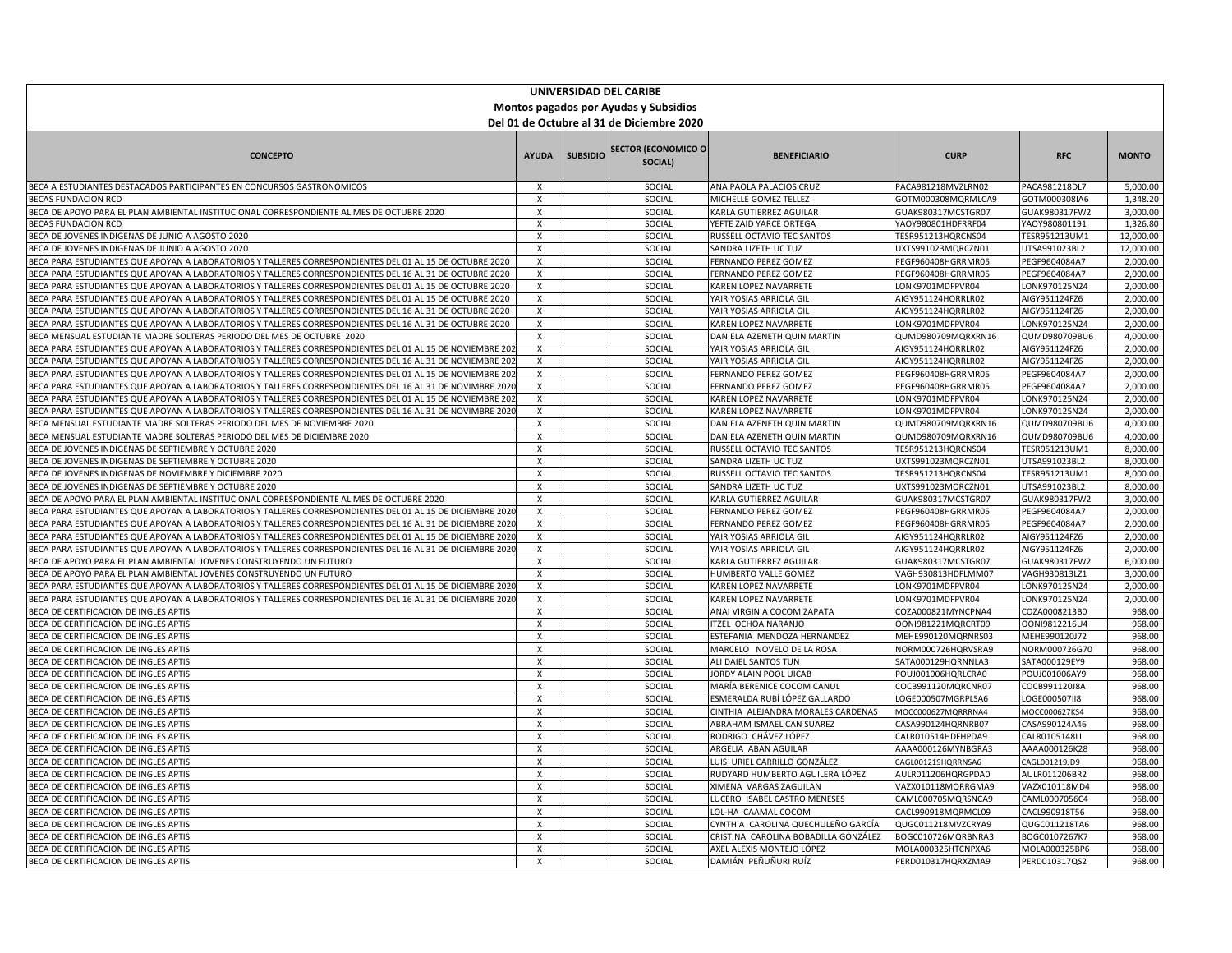| UNIVERSIDAD DEL CARIBE                                                                                                                                                                                 |                           |                 |                                       |                                                 |                                          |                                |                      |  |
|--------------------------------------------------------------------------------------------------------------------------------------------------------------------------------------------------------|---------------------------|-----------------|---------------------------------------|-------------------------------------------------|------------------------------------------|--------------------------------|----------------------|--|
| Montos pagados por Ayudas y Subsidios                                                                                                                                                                  |                           |                 |                                       |                                                 |                                          |                                |                      |  |
| Del 01 de Octubre al 31 de Diciembre 2020                                                                                                                                                              |                           |                 |                                       |                                                 |                                          |                                |                      |  |
|                                                                                                                                                                                                        |                           |                 |                                       |                                                 |                                          |                                |                      |  |
| <b>CONCEPTO</b>                                                                                                                                                                                        | <b>AYUDA</b>              | <b>SUBSIDIO</b> | <b>SECTOR (ECONOMICO O</b><br>SOCIAL) | <b>BENEFICIARIO</b>                             | <b>CURP</b>                              | <b>RFC</b>                     | <b>MONTO</b>         |  |
| BECA A ESTUDIANTES DESTACADOS PARTICIPANTES EN CONCURSOS GASTRONOMICOS                                                                                                                                 | $\boldsymbol{\mathsf{x}}$ |                 | SOCIAL                                | ANA PAOLA PALACIOS CRUZ                         | PACA981218MVZLRN02                       | PACA981218DL7                  | 5,000.00             |  |
| <b>BECAS FUNDACION RCD</b>                                                                                                                                                                             | $\boldsymbol{\mathsf{x}}$ |                 | SOCIAL                                | MICHELLE GOMEZ TELLEZ                           | GOTM000308MQRMLCA9                       | GOTM000308IA6                  | 1,348.20             |  |
| BECA DE APOYO PARA EL PLAN AMBIENTAL INSTITUCIONAL CORRESPONDIENTE AL MES DE OCTUBRE 2020                                                                                                              | $\pmb{\times}$            |                 | SOCIAL                                | KARLA GUTIERREZ AGUILAR                         | GUAK980317MCSTGR07                       | GUAK980317FW2                  | 3,000.00             |  |
| <b>BECAS FUNDACION RCD</b>                                                                                                                                                                             | X                         |                 | SOCIAL                                | YEFTE ZAID YARCE ORTEGA                         | YAOY980801HDFRRF04                       | YAOY980801191                  | 1,326.80             |  |
| BECA DE JOVENES INDIGENAS DE JUNIO A AGOSTO 2020                                                                                                                                                       | Χ                         |                 | SOCIAL                                | RUSSELL OCTAVIO TEC SANTOS                      | TESR951213HQRCNS04                       | TESR951213UM1                  | 12,000.00            |  |
| BECA DE JOVENES INDIGENAS DE JUNIO A AGOSTO 2020                                                                                                                                                       | $\pmb{\chi}$              |                 | SOCIAL                                | SANDRA LIZETH UC TUZ                            | UXTS991023MQRCZN01                       | UTSA991023BL2                  | 12,000.00            |  |
| BECA PARA ESTUDIANTES QUE APOYAN A LABORATORIOS Y TALLERES CORRESPONDIENTES DEL 01 AL 15 DE OCTUBRE 2020                                                                                               | $\boldsymbol{\mathsf{x}}$ |                 | SOCIAL                                | FERNANDO PEREZ GOMEZ                            | PEGF960408HGRRMR05                       | PEGF9604084A7                  | 2,000.00             |  |
| BECA PARA ESTUDIANTES QUE APOYAN A LABORATORIOS Y TALLERES CORRESPONDIENTES DEL 16 AL 31 DE OCTUBRE 2020                                                                                               | $\boldsymbol{\mathsf{x}}$ |                 | SOCIAL                                | FERNANDO PEREZ GOMEZ                            | PEGF960408HGRRMR05                       | PEGF9604084A7                  | 2,000.00             |  |
| BECA PARA ESTUDIANTES QUE APOYAN A LABORATORIOS Y TALLERES CORRESPONDIENTES DEL 01 AL 15 DE OCTUBRE 2020                                                                                               | $\boldsymbol{\mathsf{x}}$ |                 | SOCIAL                                | KAREN LOPEZ NAVARRETE                           | LONK9701MDFPVR04                         | LONK970125N24                  | 2,000.00             |  |
| BECA PARA ESTUDIANTES QUE APOYAN A LABORATORIOS Y TALLERES CORRESPONDIENTES DEL 01 AL 15 DE OCTUBRE 2020                                                                                               | Х                         |                 | SOCIAL                                | YAIR YOSIAS ARRIOLA GIL                         | AIGY951124HQRRLR02                       | AIGY951124FZ6                  | 2,000.00             |  |
| BECA PARA ESTUDIANTES QUE APOYAN A LABORATORIOS Y TALLERES CORRESPONDIENTES DEL 16 AL 31 DE OCTUBRE 2020                                                                                               | $\boldsymbol{\mathsf{x}}$ |                 | SOCIAL                                | YAIR YOSIAS ARRIOLA GIL                         | AIGY951124HQRRLR02                       | AIGY951124FZ6                  | 2,000.00             |  |
| BECA PARA ESTUDIANTES QUE APOYAN A LABORATORIOS Y TALLERES CORRESPONDIENTES DEL 16 AL 31 DE OCTUBRE 2020                                                                                               | $\boldsymbol{\mathsf{x}}$ |                 | SOCIAL                                | KAREN LOPEZ NAVARRETE                           | LONK9701MDFPVR04                         | LONK970125N24                  | 2,000.00             |  |
| BECA MENSUAL ESTUDIANTE MADRE SOLTERAS PERIODO DEL MES DE OCTUBRE 2020                                                                                                                                 | $\boldsymbol{\mathsf{x}}$ |                 | SOCIAL                                | DANIELA AZENETH QUIN MARTIN                     | QUMD980709MQRXRN16                       | QUMD980709BU6                  | 4,000.00             |  |
| BECA PARA ESTUDIANTES QUE APOYAN A LABORATORIOS Y TALLERES CORRESPONDIENTES DEL 01 AL 15 DE NOVIEMBRE 20                                                                                               | $\pmb{\chi}$              |                 | SOCIAL                                | YAIR YOSIAS ARRIOLA GIL                         | AIGY951124HQRRLR02                       | AIGY951124FZ6                  | 2,000.00             |  |
| BECA PARA ESTUDIANTES QUE APOYAN A LABORATORIOS Y TALLERES CORRESPONDIENTES DEL 16 AL 31 DE NOVIEMBRE 20                                                                                               | X                         |                 | SOCIAL                                | YAIR YOSIAS ARRIOLA GIL                         | AIGY951124HQRRLR02                       | AIGY951124FZ6                  | 2,000.00             |  |
| BECA PARA ESTUDIANTES QUE APOYAN A LABORATORIOS Y TALLERES CORRESPONDIENTES DEL 01 AL 15 DE NOVIEMBRE 202                                                                                              | $\mathsf{X}$              |                 | SOCIAL                                | FERNANDO PEREZ GOMEZ                            | PEGF960408HGRRMR05                       | PEGF9604084A7                  | 2,000.00             |  |
| BECA PARA ESTUDIANTES QUE APOYAN A LABORATORIOS Y TALLERES CORRESPONDIENTES DEL 16 AL 31 DE NOVIMBRE 202                                                                                               | $\boldsymbol{\mathsf{x}}$ |                 | SOCIAL                                | FERNANDO PEREZ GOMEZ                            | PEGF960408HGRRMR05                       | PEGF9604084A7                  | 2,000.00             |  |
| BECA PARA ESTUDIANTES QUE APOYAN A LABORATORIOS Y TALLERES CORRESPONDIENTES DEL 01 AL 15 DE NOVIEMBRE 20                                                                                               | $\mathsf{x}$              |                 | SOCIAL                                | KAREN LOPEZ NAVARRETE                           | LONK9701MDFPVR04                         | LONK970125N24                  | 2,000.00             |  |
| BECA PARA ESTUDIANTES QUE APOYAN A LABORATORIOS Y TALLERES CORRESPONDIENTES DEL 16 AL 31 DE NOVIMBRE 2020                                                                                              | $\mathsf{x}$              |                 | SOCIAL                                | KAREN LOPEZ NAVARRETE                           | LONK9701MDFPVR04                         | LONK970125N24                  | 2,000.00             |  |
| BECA MENSUAL ESTUDIANTE MADRE SOLTERAS PERIODO DEL MES DE NOVIEMBRE 2020                                                                                                                               | X                         |                 | SOCIAL                                | DANIELA AZENETH QUIN MARTIN                     | QUMD980709MQRXRN16                       | QUMD980709BU6                  | 4,000.00             |  |
| BECA MENSUAL ESTUDIANTE MADRE SOLTERAS PERIODO DEL MES DE DICIEMBRE 2020                                                                                                                               | $\mathsf{X}$              |                 | SOCIAL                                | DANIELA AZENETH QUIN MARTIN                     | QUMD980709MQRXRN16                       | QUMD980709BU6                  | 4,000.00             |  |
| BECA DE JOVENES INDIGENAS DE SEPTIEMBRE Y OCTUBRE 2020                                                                                                                                                 | $\overline{\mathbf{x}}$   |                 | SOCIAL                                | RUSSELL OCTAVIO TEC SANTOS                      | TESR951213HQRCNS04                       | TESR951213UM1                  | 8,000.00             |  |
| BECA DE JOVENES INDIGENAS DE SEPTIEMBRE Y OCTUBRE 2020                                                                                                                                                 | $\boldsymbol{\mathsf{x}}$ |                 | SOCIAL                                | SANDRA LIZETH UC TUZ                            | UXTS991023MQRCZN01                       | UTSA991023BL2                  | 8,000.00             |  |
| BECA DE JOVENES INDIGENAS DE NOVIEMBRE Y DICIEMBRE 2020                                                                                                                                                | X                         |                 | SOCIAL                                | RUSSELL OCTAVIO TEC SANTOS                      | TESR951213HQRCNS04                       | TESR951213UM1                  | 8,000.00             |  |
| BECA DE JOVENES INDIGENAS DE SEPTIEMBRE Y OCTUBRE 2020                                                                                                                                                 | $\times$                  |                 | SOCIAL                                | SANDRA LIZETH UC TUZ                            | UXTS991023MQRCZN01                       | UTSA991023BL2                  | 8,000.00             |  |
| BECA DE APOYO PARA EL PLAN AMBIENTAL INSTITUCIONAL CORRESPONDIENTE AL MES DE OCTUBRE 2020<br>BECA PARA ESTUDIANTES QUE APOYAN A LABORATORIOS Y TALLERES CORRESPONDIENTES DEL 01 AL 15 DE DICIEMBRE 202 | Χ<br>$\pmb{\chi}$         |                 | SOCIAL<br>SOCIAL                      | KARLA GUTIERREZ AGUILAR<br>FERNANDO PEREZ GOMEZ | GUAK980317MCSTGR07<br>PEGF960408HGRRMR05 | GUAK980317FW2<br>PEGF9604084A7 | 3,000.00<br>2,000.00 |  |
| BECA PARA ESTUDIANTES QUE APOYAN A LABORATORIOS Y TALLERES CORRESPONDIENTES DEL 16 AL 31 DE DICIEMBRE 2020                                                                                             | $\mathsf{x}$              |                 | SOCIAL                                | FERNANDO PEREZ GOMEZ                            | PEGF960408HGRRMR05                       | PEGF9604084A7                  | 2,000.00             |  |
| BECA PARA ESTUDIANTES QUE APOYAN A LABORATORIOS Y TALLERES CORRESPONDIENTES DEL 01 AL 15 DE DICIEMBRE 202                                                                                              | $\mathsf{x}$              |                 | SOCIAL                                | YAIR YOSIAS ARRIOLA GIL                         | AIGY951124HQRRLR02                       | AIGY951124FZ6                  | 2,000.00             |  |
| BECA PARA ESTUDIANTES QUE APOYAN A LABORATORIOS Y TALLERES CORRESPONDIENTES DEL 16 AL 31 DE DICIEMBRE 2020                                                                                             | $\pmb{\times}$            |                 | SOCIAL                                | YAIR YOSIAS ARRIOLA GIL                         | AIGY951124HQRRLR02                       | AIGY951124FZ6                  | 2,000.00             |  |
| BECA DE APOYO PARA EL PLAN AMBIENTAL JOVENES CONSTRUYENDO UN FUTURO                                                                                                                                    | x                         |                 | SOCIAL                                | KARLA GUTIERREZ AGUILAR                         | GUAK980317MCSTGR07                       | GUAK980317FW2                  | 6,000.00             |  |
| BECA DE APOYO PARA EL PLAN AMBIENTAL JOVENES CONSTRUYENDO UN FUTURO                                                                                                                                    | $\mathsf{x}$              |                 | SOCIAL                                | HUMBERTO VALLE GOMEZ                            | VAGH930813HDFLMM07                       | VAGH930813LZ1                  | 3,000.00             |  |
| BECA PARA ESTUDIANTES QUE APOYAN A LABORATORIOS Y TALLERES CORRESPONDIENTES DEL 01 AL 15 DE DICIEMBRE 202                                                                                              | $\mathsf{x}$              |                 | SOCIAL                                | KAREN LOPEZ NAVARRETE                           | LONK9701MDFPVR04                         | LONK970125N24                  | 2.000.00             |  |
| BECA PARA ESTUDIANTES QUE APOYAN A LABORATORIOS Y TALLERES CORRESPONDIENTES DEL 16 AL 31 DE DICIEMBRE 2020                                                                                             | $\boldsymbol{\mathsf{x}}$ |                 | SOCIAL                                | KAREN LOPEZ NAVARRETE                           | LONK9701MDFPVR04                         | LONK970125N24                  | 2,000.00             |  |
| BECA DE CERTIFICACION DE INGLES APTIS                                                                                                                                                                  | $\pmb{\chi}$              |                 | SOCIAL                                | ANAI VIRGINIA COCOM ZAPATA                      | COZA000821MYNCPNA4                       | COZA0008213B0                  | 968.00               |  |
| BECA DE CERTIFICACION DE INGLES APTIS                                                                                                                                                                  | X                         |                 | SOCIAL                                | TZEL OCHOA NARANJO                              | OONI981221MQRCRT09                       | OONI9812216U4                  | 968.00               |  |
| BECA DE CERTIFICACION DE INGLES APTIS                                                                                                                                                                  | $\pmb{\chi}$              |                 | SOCIAL                                | ESTEFANIA MENDOZA HERNANDEZ                     | MEHE990120MQRNRS03                       | MEHE990120J72                  | 968.00               |  |
| BECA DE CERTIFICACION DE INGLES APTIS                                                                                                                                                                  | $\boldsymbol{\mathsf{x}}$ |                 | SOCIAL                                | MARCELO NOVELO DE LA ROSA                       | NORM000726HQRVSRA9                       | NORM000726G70                  | 968.00               |  |
| BECA DE CERTIFICACION DE INGLES APTIS                                                                                                                                                                  | X                         |                 | SOCIAL                                | ALI DAIEL SANTOS TUN                            | SATA000129HQRNNLA3                       | SATA000129EY9                  | 968.00               |  |
| BECA DE CERTIFICACION DE INGLES APTIS                                                                                                                                                                  | $\pmb{\times}$            |                 | SOCIAL                                | JORDY ALAIN POOL UICAB                          | POUJ001006HQRLCRA0                       | POUJ001006AY9                  | 968.00               |  |
| BECA DE CERTIFICACION DE INGLES APTIS                                                                                                                                                                  | X                         |                 | SOCIAL                                | MARÍA BERENICE COCOM CANUL                      | COCB991120MQRCNR07                       | COCB991120J8A                  | 968.00               |  |
| BECA DE CERTIFICACION DE INGLES APTIS                                                                                                                                                                  | $\boldsymbol{\mathsf{x}}$ |                 | SOCIAL                                | ESMERALDA RUBÍ LÓPEZ GALLARDO                   | LOGE000507MGRPLSA6                       | LOGE000507II8                  | 968.00               |  |
| BECA DE CERTIFICACION DE INGLES APTIS                                                                                                                                                                  | $\pmb{\chi}$              |                 | SOCIAL                                | CINTHIA ALEJANDRA MORALES CARDENAS              | MOCC000627MQRRRNA4                       | MOCC000627KS4                  | 968.00               |  |
| BECA DE CERTIFICACION DE INGLES APTIS                                                                                                                                                                  | $\boldsymbol{\mathsf{x}}$ |                 | SOCIAL                                | ABRAHAM ISMAEL CAN SUAREZ                       | CASA990124HQRNRB07                       | CASA990124A46                  | 968.00               |  |
| BECA DE CERTIFICACION DE INGLES APTIS                                                                                                                                                                  | X                         |                 | SOCIAL                                | RODRIGO CHÁVEZ LÓPEZ                            | CALR010514HDFHPDA9                       | CALR0105148LI                  | 968.00               |  |
| BECA DE CERTIFICACION DE INGLES APTIS                                                                                                                                                                  | $\mathsf{x}$              |                 | SOCIAL                                | ARGELIA ABAN AGUILAR                            | AAAA000126MYNBGRA3                       | AAAA000126K28                  | 968.00               |  |
| BECA DE CERTIFICACION DE INGLES APTIS                                                                                                                                                                  | Χ                         |                 | SOCIAL                                | LUIS URIEL CARRILLO GONZÁLEZ                    | CAGL001219HQRRNSA6                       | CAGL001219JD9                  | 968.00               |  |
| BECA DE CERTIFICACION DE INGLES APTIS                                                                                                                                                                  | $\pmb{\times}$            |                 | SOCIAL                                | RUDYARD HUMBERTO AGUILERA LÓPEZ                 | AULR011206HQRGPDA0                       | AULR011206BR2                  | 968.00               |  |
| BECA DE CERTIFICACION DE INGLES APTIS                                                                                                                                                                  | $\boldsymbol{\mathsf{x}}$ |                 | SOCIAL                                | KIMENA VARGAS ZAGUILAN                          | VAZX010118MQRRGMA9                       | VAZX010118MD4                  | 968.00               |  |
| BECA DE CERTIFICACION DE INGLES APTIS                                                                                                                                                                  | $\boldsymbol{\mathsf{x}}$ |                 | SOCIAL                                | LUCERO ISABEL CASTRO MENESES                    | CAML000705MQRSNCA9                       | CAML0007056C4                  | 968.00               |  |
| BECA DE CERTIFICACION DE INGLES APTIS                                                                                                                                                                  | Χ                         |                 | SOCIAL                                | LOL-HA CAAMAL COCOM                             | CACL990918MQRMCL09                       | CACL990918T56                  | 968.00               |  |
| BECA DE CERTIFICACION DE INGLES APTIS                                                                                                                                                                  | X                         |                 | SOCIAL                                | CYNTHIA CAROLINA QUECHULEÑO GARCÍA              | QUGC011218MVZCRYA9                       | QUGC011218TA6                  | 968.00               |  |
| BECA DE CERTIFICACION DE INGLES APTIS                                                                                                                                                                  | $\pmb{\chi}$              |                 | SOCIAL                                | CRISTINA CAROLINA BOBADILLA GONZÁLEZ            | BOGC010726MQRBNRA3                       | BOGC0107267K7                  | 968.00               |  |
| BECA DE CERTIFICACION DE INGLES APTIS                                                                                                                                                                  | X                         |                 | SOCIAL                                | AXEL ALEXIS MONTEJO LÓPEZ                       | MOLA000325HTCNPXA6                       | MOLA000325BP6                  | 968.00               |  |
| BECA DE CERTIFICACION DE INGLES APTIS                                                                                                                                                                  | $\mathsf{x}$              |                 | SOCIAL                                | DAMIÁN PEÑUÑURI RUÍZ                            | PERD010317HQRXZMA9                       | PERD010317QS2                  | 968.00               |  |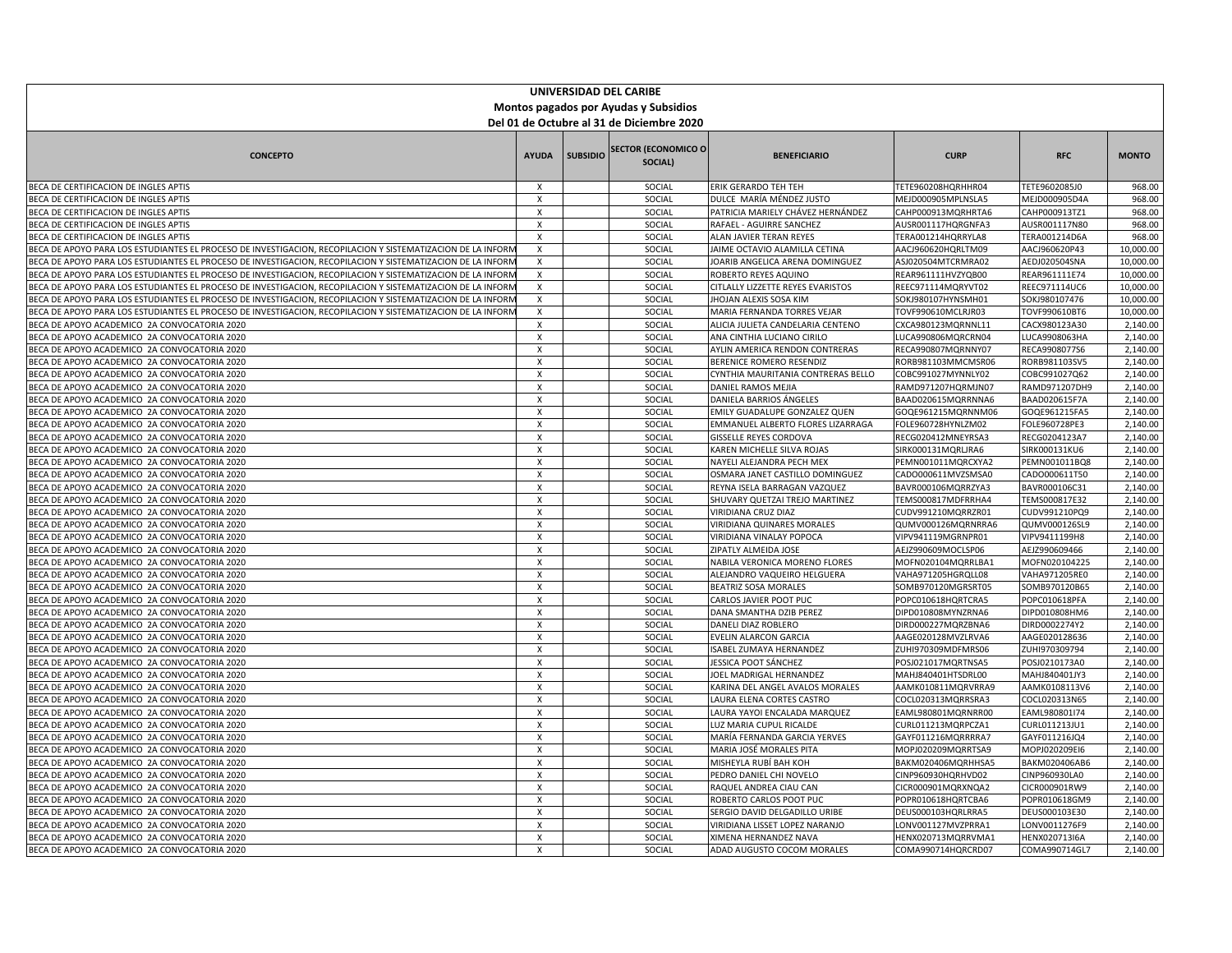| UNIVERSIDAD DEL CARIBE                                                                                      |                                                        |                 |                                       |                                                                    |                                          |                                |                      |  |
|-------------------------------------------------------------------------------------------------------------|--------------------------------------------------------|-----------------|---------------------------------------|--------------------------------------------------------------------|------------------------------------------|--------------------------------|----------------------|--|
| Montos pagados por Ayudas y Subsidios                                                                       |                                                        |                 |                                       |                                                                    |                                          |                                |                      |  |
| Del 01 de Octubre al 31 de Diciembre 2020                                                                   |                                                        |                 |                                       |                                                                    |                                          |                                |                      |  |
|                                                                                                             |                                                        |                 |                                       |                                                                    |                                          |                                |                      |  |
| <b>CONCEPTO</b>                                                                                             | <b>AYUDA</b>                                           | <b>SUBSIDIO</b> | <b>SECTOR (ECONOMICO O</b><br>SOCIAL) | <b>BENEFICIARIO</b>                                                | <b>CURP</b>                              | <b>RFC</b>                     | <b>MONTO</b>         |  |
| BECA DE CERTIFICACION DE INGLES APTIS                                                                       | X                                                      |                 | SOCIAL                                | ERIK GERARDO TEH TEH                                               | TETE960208HQRHHR04                       | TETE9602085J0                  | 968.00               |  |
| BECA DE CERTIFICACION DE INGLES APTIS                                                                       | $\boldsymbol{\mathsf{x}}$                              |                 | SOCIAL                                | DULCE MARÍA MÉNDEZ JUSTO                                           | MEJD000905MPLNSLA5                       | MEJD000905D4A                  | 968.00               |  |
| BECA DE CERTIFICACION DE INGLES APTIS                                                                       | X                                                      |                 | SOCIAL                                | PATRICIA MARIELY CHÁVEZ HERNÁNDEZ                                  | CAHP000913MQRHRTA6                       | CAHP000913TZ1                  | 968.00               |  |
| BECA DE CERTIFICACION DE INGLES APTIS                                                                       | $\mathsf{x}$                                           |                 | SOCIAL                                | RAFAEL - AGUIRRE SANCHEZ                                           | AUSR001117HQRGNFA3                       | AUSR001117N80                  | 968.00               |  |
| BECA DE CERTIFICACION DE INGLES APTIS                                                                       | $\boldsymbol{\mathsf{x}}$                              |                 | SOCIAL                                | ALAN JAVIER TERAN REYES                                            | TERA001214HQRRYLA8                       | TERA001214D6A                  | 968.00               |  |
| BECA DE APOYO PARA LOS ESTUDIANTES EL PROCESO DE INVESTIGACION, RECOPILACION Y SISTEMATIZACION DE LA INFORN | $\pmb{\chi}$                                           |                 | SOCIAL                                | JAIME OCTAVIO ALAMILLA CETINA                                      | AACJ960620HQRLTM09                       | AACJ960620P43                  | 10,000.00            |  |
| BECA DE APOYO PARA LOS ESTUDIANTES EL PROCESO DE INVESTIGACION, RECOPILACION Y SISTEMATIZACION DE LA INFORN | $\boldsymbol{\mathsf{x}}$                              |                 | SOCIAL                                | JOARIB ANGELICA ARENA DOMINGUEZ                                    | ASJ020504MTCRMRA02                       | AEDJ020504SNA                  | 10,000.00            |  |
| BECA DE APOYO PARA LOS ESTUDIANTES EL PROCESO DE INVESTIGACION, RECOPILACION Y SISTEMATIZACION DE LA INFORN | X                                                      |                 | SOCIAL                                | ROBERTO REYES AQUINO                                               | REAR961111HVZYQB00                       | REAR961111E74                  | 10,000.00            |  |
| BECA DE APOYO PARA LOS ESTUDIANTES EL PROCESO DE INVESTIGACION, RECOPILACION Y SISTEMATIZACION DE LA INFORN | $\boldsymbol{\mathsf{x}}$                              |                 | SOCIAL                                | CITLALLY LIZZETTE REYES EVARISTOS                                  | REEC971114MQRYVT02                       | REEC971114UC6                  | 10,000.00            |  |
| BECA DE APOYO PARA LOS ESTUDIANTES EL PROCESO DE INVESTIGACION, RECOPILACION Y SISTEMATIZACION DE LA INFORN | $\boldsymbol{\mathsf{x}}$                              |                 | SOCIAL                                | <b>IHOJAN ALEXIS SOSA KIM</b>                                      | SOKJ980107HYNSMH01                       | SOKJ980107476                  | 10,000.00            |  |
| BECA DE APOYO PARA LOS ESTUDIANTES EL PROCESO DE INVESTIGACION, RECOPILACION Y SISTEMATIZACION DE LA INFORN | $\boldsymbol{\mathsf{x}}$                              |                 | SOCIAL                                | MARIA FERNANDA TORRES VEJAR                                        | TOVF990610MCLRJR03                       | TOVF990610BT6                  | 10,000.00            |  |
| BECA DE APOYO ACADEMICO 2A CONVOCATORIA 2020                                                                | $\boldsymbol{\mathsf{x}}$                              |                 | SOCIAL                                | ALICIA JULIETA CANDELARIA CENTENO                                  | CXCA980123MQRNNL11                       | CACX980123A30                  | 2,140.00             |  |
| BECA DE APOYO ACADEMICO 2A CONVOCATORIA 2020                                                                | $\boldsymbol{\mathsf{x}}$                              |                 | SOCIAL                                | ANA CINTHIA LUCIANO CIRILO                                         | LUCA990806MQRCRN04                       | LUCA9908063HA                  | 2,140.00             |  |
| BECA DE APOYO ACADEMICO 2A CONVOCATORIA 2020                                                                | $\boldsymbol{\mathsf{x}}$                              |                 | SOCIAL                                | AYLIN AMERICA RENDON CONTRERAS                                     | RECA990807MQRNNY07                       | RECA9908077S6                  | 2,140.00             |  |
| BECA DE APOYO ACADEMICO 2A CONVOCATORIA 2020                                                                | $\boldsymbol{\mathsf{x}}$                              |                 | SOCIAL                                | BERENICE ROMERO RESENDIZ                                           | RORB981103MMCMSR06                       | RORB981103SV5                  | 2,140.00             |  |
| BECA DE APOYO ACADEMICO 2A CONVOCATORIA 2020                                                                | $\boldsymbol{\mathsf{x}}$                              |                 | SOCIAL                                | CYNTHIA MAURITANIA CONTRERAS BELLO                                 | COBC991027MYNNLY02                       | COBC991027Q62                  | 2,140.00             |  |
| BECA DE APOYO ACADEMICO 2A CONVOCATORIA 2020                                                                | $\boldsymbol{\mathsf{x}}$                              |                 | SOCIAL                                | DANIEL RAMOS MEJIA                                                 | RAMD971207HQRMJN07                       | RAMD971207DH9                  | 2,140.00             |  |
| BECA DE APOYO ACADEMICO 2A CONVOCATORIA 2020                                                                | $\mathsf{x}$<br>$\boldsymbol{\mathsf{x}}$              |                 | SOCIAL<br>SOCIAL                      | DANIELA BARRIOS ÁNGELES                                            | BAAD020615MQRRNNA6                       | BAAD020615F7A                  | 2,140.00<br>2,140.00 |  |
| BECA DE APOYO ACADEMICO 2A CONVOCATORIA 2020<br>BECA DE APOYO ACADEMICO 2A CONVOCATORIA 2020                |                                                        |                 | SOCIAL                                | EMILY GUADALUPE GONZALEZ QUEN<br>EMMANUEL ALBERTO FLORES LIZARRAGA | GOQE961215MQRNNM06<br>FOLE960728HYNLZM02 | GOQE961215FA5<br>FOLE960728PE3 | 2,140.00             |  |
| BECA DE APOYO ACADEMICO 2A CONVOCATORIA 2020                                                                | X<br>$\boldsymbol{\mathsf{x}}$                         |                 | SOCIAL                                | <b>GISSELLE REYES CORDOVA</b>                                      | RECG020412MNEYRSA3                       | RECG0204123A7                  | 2,140.00             |  |
| BECA DE APOYO ACADEMICO 2A CONVOCATORIA 2020                                                                | $\boldsymbol{\mathsf{x}}$                              |                 | SOCIAL                                | KAREN MICHELLE SILVA ROJAS                                         | SIRK000131MQRLJRA6                       | SIRK000131KU6                  | 2,140.00             |  |
| BECA DE APOYO ACADEMICO 2A CONVOCATORIA 2020                                                                | $\boldsymbol{\mathsf{x}}$                              |                 | SOCIAL                                | NAYELI ALEJANDRA PECH MEX                                          | PEMN001011MQRCXYA2                       | PEMN001011BQ8                  | 2,140.00             |  |
| BECA DE APOYO ACADEMICO 2A CONVOCATORIA 2020                                                                | $\boldsymbol{\mathsf{x}}$                              |                 | SOCIAL                                | OSMARA JANET CASTILLO DOMINGUEZ                                    | CADO000611MVZSMSA0                       | CADO000611T50                  | 2,140.00             |  |
| BECA DE APOYO ACADEMICO 2A CONVOCATORIA 2020                                                                | $\boldsymbol{\mathsf{x}}$                              |                 | SOCIAL                                | REYNA ISELA BARRAGAN VAZQUEZ                                       | BAVR000106MQRRZYA3                       | BAVR000106C31                  | 2,140.00             |  |
| BECA DE APOYO ACADEMICO 2A CONVOCATORIA 2020                                                                | $\boldsymbol{\mathsf{x}}$                              |                 | SOCIAL                                | SHUVARY QUETZAI TREJO MARTINEZ                                     | TEMS000817MDFRRHA4                       | TEMS000817E32                  | 2,140.00             |  |
| BECA DE APOYO ACADEMICO 2A CONVOCATORIA 2020                                                                | $\boldsymbol{\mathsf{x}}$                              |                 | SOCIAL                                | VIRIDIANA CRUZ DIAZ                                                | CUDV991210MQRRZR01                       | CUDV991210PQ9                  | 2,140.00             |  |
| BECA DE APOYO ACADEMICO 2A CONVOCATORIA 2020                                                                | $\boldsymbol{\mathsf{x}}$                              |                 | SOCIAL                                | VIRIDIANA QUINARES MORALES                                         | QUMV000126MQRNRRA6                       | QUMV000126SL9                  | 2,140.00             |  |
| BECA DE APOYO ACADEMICO 2A CONVOCATORIA 2020                                                                | $\boldsymbol{\mathsf{x}}$                              |                 | SOCIAL                                | VIRIDIANA VINALAY POPOCA                                           | VIPV941119MGRNPR01                       | VIPV9411199H8                  | 2,140.00             |  |
| BECA DE APOYO ACADEMICO 2A CONVOCATORIA 2020                                                                | $\boldsymbol{\mathsf{x}}$                              |                 | SOCIAL                                | ZIPATLY ALMEIDA JOSE                                               | AEJZ990609MOCLSP06                       | AEJZ990609466                  | 2,140.00             |  |
| BECA DE APOYO ACADEMICO 2A CONVOCATORIA 2020                                                                | $\boldsymbol{\mathsf{x}}$                              |                 | SOCIAL                                | NABILA VERONICA MORENO FLORES                                      | MOFN020104MQRRLBA1                       | MOFN020104225                  | 2,140.00             |  |
| BECA DE APOYO ACADEMICO 2A CONVOCATORIA 2020                                                                | X                                                      |                 | SOCIAL                                | ALEJANDRO VAQUEIRO HELGUERA                                        | VAHA971205HGRQLL08                       | VAHA971205RE0                  | 2,140.00             |  |
| BECA DE APOYO ACADEMICO 2A CONVOCATORIA 2020                                                                | $\mathsf{x}$                                           |                 | SOCIAL                                | <b>BEATRIZ SOSA MORALES</b>                                        | SOMB970120MGRSRT05                       | SOMB970120B65                  | 2,140.00             |  |
| BECA DE APOYO ACADEMICO 2A CONVOCATORIA 2020                                                                | $\pmb{\chi}$                                           |                 | SOCIAL                                | CARLOS JAVIER POOT PUC                                             | POPC010618HQRTCRA5                       | POPC010618PFA                  | 2,140.00             |  |
| BECA DE APOYO ACADEMICO 2A CONVOCATORIA 2020                                                                | $\mathsf{x}$                                           |                 | SOCIAL                                | DANA SMANTHA DZIB PEREZ                                            | DIPD010808MYNZRNA6                       | DIPD010808HM6                  | 2,140.00             |  |
| BECA DE APOYO ACADEMICO 2A CONVOCATORIA 2020                                                                | $\boldsymbol{\mathsf{x}}$                              |                 | SOCIAL                                | DANELI DIAZ ROBLERO                                                | DIRD000227MQRZBNA6                       | DIRD0002274Y2                  | 2,140.00             |  |
| BECA DE APOYO ACADEMICO 2A CONVOCATORIA 2020                                                                | $\boldsymbol{\mathsf{x}}$                              |                 | SOCIAL                                | EVELIN ALARCON GARCIA                                              | AAGE020128MVZLRVA6                       | AAGE020128636                  | 2,140.00             |  |
| BECA DE APOYO ACADEMICO 2A CONVOCATORIA 2020                                                                | $\boldsymbol{\mathsf{x}}$                              |                 | SOCIAL                                | ISABEL ZUMAYA HERNANDEZ                                            | ZUHI970309MDFMRS06                       | ZUHI970309794                  | 2,140.00             |  |
| BECA DE APOYO ACADEMICO 2A CONVOCATORIA 2020                                                                | $\boldsymbol{\mathsf{x}}$                              |                 | SOCIAL                                | JESSICA POOT SÁNCHEZ                                               | POSJ021017MQRTNSA5                       | POSJ0210173A0                  | 2,140.00             |  |
| BECA DE APOYO ACADEMICO 2A CONVOCATORIA 2020                                                                | $\boldsymbol{\mathsf{x}}$                              |                 | SOCIAL                                | JOEL MADRIGAL HERNANDEZ                                            | MAHJ840401HTSDRL00                       | MAHJ840401JY3                  | 2,140.00             |  |
| BECA DE APOYO ACADEMICO 2A CONVOCATORIA 2020                                                                | $\boldsymbol{\mathsf{x}}$                              |                 | SOCIAL                                | KARINA DEL ANGEL AVALOS MORALES                                    | AAMK010811MQRVRRA9                       | AAMK0108113V6                  | 2.140.00             |  |
| BECA DE APOYO ACADEMICO 2A CONVOCATORIA 2020                                                                | $\boldsymbol{\mathsf{x}}$                              |                 | SOCIAL                                | LAURA ELENA CORTES CASTRO                                          | COCL020313MQRRSRA3                       | COCL020313N65                  | 2,140.00             |  |
| BECA DE APOYO ACADEMICO 2A CONVOCATORIA 2020                                                                | $\boldsymbol{\mathsf{x}}$                              |                 | SOCIAL                                | AURA YAYOI ENCALADA MARQUEZ                                        | EAML980801MQRNRR00                       | EAML980801l74                  | 2,140.00             |  |
| BECA DE APOYO ACADEMICO 2A CONVOCATORIA 2020                                                                | $\boldsymbol{\mathsf{x}}$<br>$\boldsymbol{\mathsf{x}}$ |                 | SOCIAL<br>SOCIAL                      | LUZ MARIA CUPUL RICALDE                                            | CURL011213MQRPCZA1                       | CURL011213JU1                  | 2,140.00             |  |
| BECA DE APOYO ACADEMICO 2A CONVOCATORIA 2020<br>BECA DE APOYO ACADEMICO 2A CONVOCATORIA 2020                | $\boldsymbol{\mathsf{x}}$                              |                 | SOCIAL                                | MARÍA FERNANDA GARCIA YERVES<br>MARIA JOSÉ MORALES PITA            | GAYF011216MQRRRRA7<br>MOPJ020209MQRRTSA9 | GAYF011216JQ4<br>MOPJ020209EI6 | 2,140.00<br>2,140.00 |  |
| BECA DE APOYO ACADEMICO 2A CONVOCATORIA 2020                                                                | $\boldsymbol{\mathsf{x}}$                              |                 | SOCIAL                                | MISHEYLA RUBÍ BAH KOH                                              | BAKM020406MQRHHSA5                       | BAKM020406AB6                  | 2,140.00             |  |
| BECA DE APOYO ACADEMICO 2A CONVOCATORIA 2020                                                                | $\boldsymbol{\mathsf{x}}$                              |                 | SOCIAL                                | PEDRO DANIEL CHI NOVELO                                            | CINP960930HQRHVD02                       | CINP960930LA0                  | 2,140.00             |  |
| BECA DE APOYO ACADEMICO 2A CONVOCATORIA 2020                                                                | $\boldsymbol{\mathsf{x}}$                              |                 | SOCIAL                                | RAQUEL ANDREA CIAU CAN                                             | CICR000901MQRXNQA2                       | CICR000901RW9                  | 2,140.00             |  |
| BECA DE APOYO ACADEMICO 2A CONVOCATORIA 2020                                                                | $\boldsymbol{\mathsf{x}}$                              |                 | SOCIAL                                | ROBERTO CARLOS POOT PUC                                            | POPR010618HQRTCBA6                       | POPR010618GM9                  | 2,140.00             |  |
| BECA DE APOYO ACADEMICO 2A CONVOCATORIA 2020                                                                | $\boldsymbol{\mathsf{x}}$                              |                 | SOCIAL                                | SERGIO DAVID DELGADILLO URIBE                                      | DEUS000103HQRLRRA5                       | DEUS000103E30                  | 2,140.00             |  |
| BECA DE APOYO ACADEMICO 2A CONVOCATORIA 2020                                                                | $\pmb{\chi}$                                           |                 | SOCIAL                                | VIRIDIANA LISSET LOPEZ NARANJO                                     | LONV001127MVZPRRA1                       | LONV0011276F9                  | 2,140.00             |  |
| BECA DE APOYO ACADEMICO 2A CONVOCATORIA 2020                                                                | $\boldsymbol{\mathsf{x}}$                              |                 | SOCIAL                                | XIMENA HERNANDEZ NAVA                                              | HENX020713MQRRVMA1                       | HENX020713I6A                  | 2,140.00             |  |
| BECA DE APOYO ACADEMICO 2A CONVOCATORIA 2020                                                                | X                                                      |                 | SOCIAL                                | ADAD AUGUSTO COCOM MORALES                                         | COMA990714HQRCRD07                       | COMA990714GL7                  | 2,140.00             |  |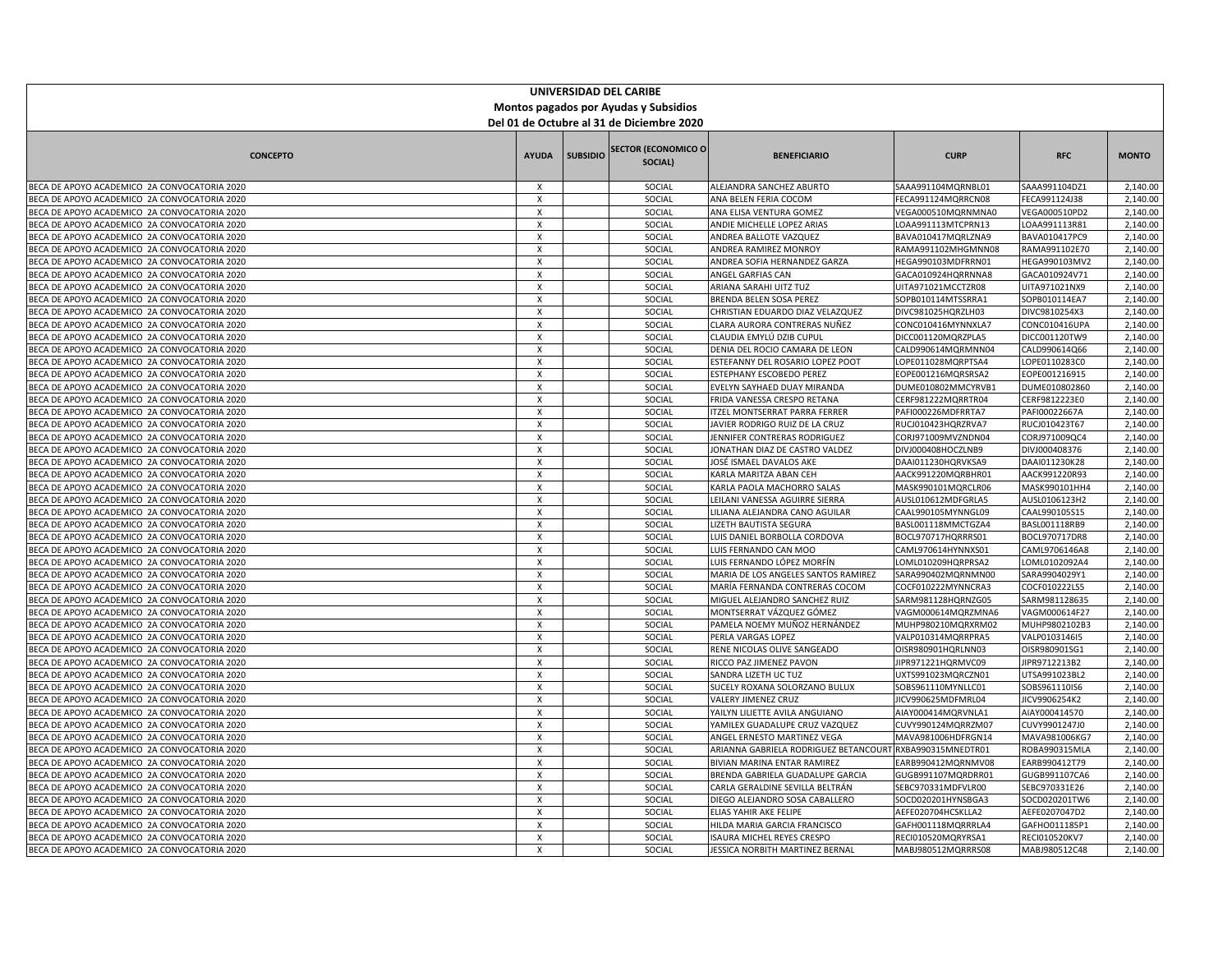| UNIVERSIDAD DEL CARIBE                                                                       |                                           |                 |                                        |                                                                 |                                          |                                |                      |  |
|----------------------------------------------------------------------------------------------|-------------------------------------------|-----------------|----------------------------------------|-----------------------------------------------------------------|------------------------------------------|--------------------------------|----------------------|--|
| Montos pagados por Ayudas y Subsidios                                                        |                                           |                 |                                        |                                                                 |                                          |                                |                      |  |
| Del 01 de Octubre al 31 de Diciembre 2020                                                    |                                           |                 |                                        |                                                                 |                                          |                                |                      |  |
|                                                                                              |                                           |                 |                                        |                                                                 |                                          |                                |                      |  |
| <b>CONCEPTO</b>                                                                              | <b>AYUDA</b>                              | <b>SUBSIDIO</b> | <b>SECTOR (ECONOMICO O)</b><br>SOCIAL) | <b>BENEFICIARIO</b>                                             | <b>CURP</b>                              | <b>RFC</b>                     | <b>MONTO</b>         |  |
| BECA DE APOYO ACADEMICO 2A CONVOCATORIA 2020                                                 | X                                         |                 | SOCIAL                                 | ALEJANDRA SANCHEZ ABURTO                                        | SAAA991104MQRNBL01                       | SAAA991104DZ1                  | 2,140.00             |  |
| BECA DE APOYO ACADEMICO 2A CONVOCATORIA 2020                                                 | $\boldsymbol{\mathsf{x}}$                 |                 | SOCIAL                                 | ANA BELEN FERIA COCOM                                           | FECA991124MQRRCN08                       | FECA991124J38                  | 2,140.00             |  |
| BECA DE APOYO ACADEMICO 2A CONVOCATORIA 2020                                                 | $\boldsymbol{\mathsf{x}}$                 |                 | SOCIAL                                 | ANA ELISA VENTURA GOMEZ                                         | VEGA000510MQRNMNA0                       | VEGA000510PD2                  | 2,140.00             |  |
| BECA DE APOYO ACADEMICO 2A CONVOCATORIA 2020                                                 | $\boldsymbol{\mathsf{x}}$                 |                 | SOCIAL                                 | ANDIE MICHELLE LOPEZ ARIAS                                      | LOAA991113MTCPRN13                       | LOAA991113R81                  | 2,140.00             |  |
| BECA DE APOYO ACADEMICO 2A CONVOCATORIA 2020                                                 | $\boldsymbol{\mathsf{x}}$                 |                 | SOCIAL                                 | ANDREA BALLOTE VAZQUEZ                                          | BAVA010417MQRLZNA9                       | BAVA010417PC9                  | 2,140.00             |  |
| BECA DE APOYO ACADEMICO 2A CONVOCATORIA 2020                                                 | $\boldsymbol{\mathsf{x}}$                 |                 | SOCIAL                                 | ANDREA RAMIREZ MONROY                                           | RAMA991102MHGMNN08                       | RAMA991102E70                  | 2,140.00             |  |
| BECA DE APOYO ACADEMICO 2A CONVOCATORIA 2020                                                 | $\times$                                  |                 | SOCIAL                                 | ANDREA SOFIA HERNANDEZ GARZA                                    | HEGA990103MDFRRN01                       | HEGA990103MV2                  | 2,140.00             |  |
| BECA DE APOYO ACADEMICO 2A CONVOCATORIA 2020                                                 | х                                         |                 | SOCIAL                                 | ANGEL GARFIAS CAN                                               | GACA010924HQRRNNA8                       | GACA010924V71                  | 2,140.00             |  |
| BECA DE APOYO ACADEMICO 2A CONVOCATORIA 2020                                                 | $\boldsymbol{\mathsf{x}}$                 |                 | SOCIAL                                 | ARIANA SARAHI UITZ TUZ                                          | UITA971021MCCTZR08                       | UITA971021NX9                  | 2,140.00             |  |
| BECA DE APOYO ACADEMICO 2A CONVOCATORIA 2020                                                 | $\boldsymbol{\mathsf{x}}$                 |                 | SOCIAL                                 | BRENDA BELEN SOSA PEREZ                                         | SOPB010114MTSSRRA1                       | SOPB010114EA7                  | 2,140.00             |  |
| BECA DE APOYO ACADEMICO 2A CONVOCATORIA 2020                                                 | $\boldsymbol{\mathsf{x}}$                 |                 | SOCIAL                                 | CHRISTIAN EDUARDO DIAZ VELAZQUEZ                                | DIVC981025HQRZLH03                       | DIVC9810254X3                  | 2,140.00             |  |
| BECA DE APOYO ACADEMICO 2A CONVOCATORIA 2020                                                 | X                                         |                 | SOCIAL                                 | CLARA AURORA CONTRERAS NUÑEZ                                    | CONC010416MYNNXLA7                       | CONC010416UPA                  | 2,140.00             |  |
| BECA DE APOYO ACADEMICO 2A CONVOCATORIA 2020                                                 | $\boldsymbol{\mathsf{x}}$                 |                 | SOCIAL                                 | CLAUDIA EMYLÚ DZIB CUPUL                                        | DICC001120MQRZPLA5                       | DICC001120TW9                  | 2,140.00             |  |
| BECA DE APOYO ACADEMICO 2A CONVOCATORIA 2020                                                 | $\boldsymbol{\mathsf{x}}$                 |                 | SOCIAL                                 | DENIA DEL ROCIO CAMARA DE LEON                                  | CALD990614MQRMNN04                       | CALD990614Q66                  | 2,140.00             |  |
| BECA DE APOYO ACADEMICO 2A CONVOCATORIA 2020                                                 | X                                         |                 | SOCIAL                                 | ESTEFANNY DEL ROSARIO LOPEZ POOT                                | LOPE011028MQRPTSA4                       | LOPE0110283C0                  | 2,140.00             |  |
| BECA DE APOYO ACADEMICO 2A CONVOCATORIA 2020                                                 | $\mathsf{x}$                              |                 | SOCIAL                                 | ESTEPHANY ESCOBEDO PEREZ                                        | EOPE001216MQRSRSA2                       | EOPE001216915                  | 2,140.00             |  |
| BECA DE APOYO ACADEMICO 2A CONVOCATORIA 2020                                                 | $\boldsymbol{\mathsf{x}}$                 |                 | SOCIAL                                 | EVELYN SAYHAED DUAY MIRANDA                                     | DUME010802MMCYRVB1                       | DUME010802860                  | 2,140.00             |  |
| BECA DE APOYO ACADEMICO 2A CONVOCATORIA 2020                                                 | $\mathsf{x}$<br>$\boldsymbol{\mathsf{x}}$ |                 | SOCIAL<br>SOCIAL                       | FRIDA VANESSA CRESPO RETANA                                     | CERF981222MQRRTR04                       | CERF9812223E0                  | 2,140.00<br>2,140.00 |  |
| BECA DE APOYO ACADEMICO 2A CONVOCATORIA 2020<br>BECA DE APOYO ACADEMICO 2A CONVOCATORIA 2020 | $\boldsymbol{\mathsf{x}}$                 |                 | SOCIAL                                 | ITZEL MONTSERRAT PARRA FERRER<br>JAVIER RODRIGO RUIZ DE LA CRUZ | PAFI000226MDFRRTA7<br>RUCJ010423HQRZRVA7 | PAFI00022667A<br>RUCJ010423T67 | 2,140.00             |  |
| BECA DE APOYO ACADEMICO 2A CONVOCATORIA 2020                                                 | $\boldsymbol{\mathsf{x}}$                 |                 | SOCIAL                                 | JENNIFER CONTRERAS RODRIGUEZ                                    | CORJ971009MVZNDN04                       | CORJ971009QC4                  | 2,140.00             |  |
| BECA DE APOYO ACADEMICO 2A CONVOCATORIA 2020                                                 | $\boldsymbol{\mathsf{x}}$                 |                 | SOCIAL                                 | JONATHAN DIAZ DE CASTRO VALDEZ                                  | DIVJ000408HOCZLNB9                       | DIVJ000408376                  | 2,140.00             |  |
| BECA DE APOYO ACADEMICO 2A CONVOCATORIA 2020                                                 | $\boldsymbol{\mathsf{x}}$                 |                 | SOCIAL                                 | JOSÉ ISMAEL DAVALOS AKE                                         | DAAI011230HQRVKSA9                       | DAAI011230K28                  | 2,140.00             |  |
| BECA DE APOYO ACADEMICO 2A CONVOCATORIA 2020                                                 | $\times$                                  |                 | SOCIAL                                 | KARLA MARITZA ABAN CEH                                          | AACK991220MQRBHR01                       | AACK991220R93                  | 2,140.00             |  |
| BECA DE APOYO ACADEMICO 2A CONVOCATORIA 2020                                                 | $\boldsymbol{\mathsf{x}}$                 |                 | SOCIAL                                 | KARLA PAOLA MACHORRO SALAS                                      | MASK990101MQRCLR06                       | MASK990101HH4                  | 2,140.00             |  |
| BECA DE APOYO ACADEMICO 2A CONVOCATORIA 2020                                                 | $\boldsymbol{\mathsf{x}}$                 |                 | SOCIAL                                 | LEILANI VANESSA AGUIRRE SIERRA                                  | AUSL010612MDFGRLA5                       | AUSL0106123H2                  | 2,140.00             |  |
| BECA DE APOYO ACADEMICO 2A CONVOCATORIA 2020                                                 | $\boldsymbol{\mathsf{x}}$                 |                 | SOCIAL                                 | LILIANA ALEJANDRA CANO AGUILAR                                  | CAAL990105MYNNGL09                       | CAAL990105S15                  | 2,140.00             |  |
| BECA DE APOYO ACADEMICO 2A CONVOCATORIA 2020                                                 | $\boldsymbol{\mathsf{x}}$                 |                 | SOCIAL                                 | LIZETH BAUTISTA SEGURA                                          | BASL001118MMCTGZA4                       | BASL001118RB9                  | 2,140.00             |  |
| BECA DE APOYO ACADEMICO 2A CONVOCATORIA 2020                                                 | $\boldsymbol{\mathsf{x}}$                 |                 | SOCIAL                                 | LUIS DANIEL BORBOLLA CORDOVA                                    | BOCL970717HQRRRS01                       | BOCL970717DR8                  | 2,140.00             |  |
| BECA DE APOYO ACADEMICO 2A CONVOCATORIA 2020                                                 | $\boldsymbol{\mathsf{x}}$                 |                 | SOCIAL                                 | LUIS FERNANDO CAN MOO                                           | CAML970614HYNNXS01                       | CAML9706146A8                  | 2,140.00             |  |
| BECA DE APOYO ACADEMICO 2A CONVOCATORIA 2020                                                 | $\times$                                  |                 | SOCIAL                                 | LUIS FERNANDO LÓPEZ MORFÍN                                      | LOML010209HQRPRSA2                       | LOML0102092A4                  | 2,140.00             |  |
| BECA DE APOYO ACADEMICO 2A CONVOCATORIA 2020                                                 | X                                         |                 | SOCIAL                                 | MARIA DE LOS ANGELES SANTOS RAMIREZ                             | SARA990402MQRNMN00                       | SARA9904029Y1                  | 2,140.00             |  |
| BECA DE APOYO ACADEMICO 2A CONVOCATORIA 2020                                                 | $\boldsymbol{\mathsf{x}}$                 |                 | SOCIAL                                 | MARÍA FERNANDA CONTRERAS COCOM                                  | COCF010222MYNNCRA3                       | COCF010222LS5                  | 2,140.00             |  |
| BECA DE APOYO ACADEMICO 2A CONVOCATORIA 2020                                                 | $\mathsf{x}$                              |                 | SOCIAL                                 | MIGUEL ALEJANDRO SANCHEZ RUIZ                                   | SARM981128HQRNZG05                       | SARM981128635                  | 2,140.00             |  |
| BECA DE APOYO ACADEMICO 2A CONVOCATORIA 2020                                                 | $\boldsymbol{\mathsf{x}}$                 |                 | SOCIAL                                 | MONTSERRAT VÁZQUEZ GÓMEZ                                        | VAGM000614MQRZMNA6                       | VAGM000614F27                  | 2,140.00             |  |
| BECA DE APOYO ACADEMICO 2A CONVOCATORIA 2020                                                 | $\times$                                  |                 | SOCIAL                                 | PAMELA NOEMY MUÑOZ HERNÁNDEZ                                    | MUHP980210MQRXRM02                       | MUHP9802102B3                  | 2,140.00             |  |
| BECA DE APOYO ACADEMICO 2A CONVOCATORIA 2020                                                 | $\pmb{\chi}$                              |                 | SOCIAL                                 | PERLA VARGAS LOPEZ                                              | VALP010314MQRRPRA5                       | VALP0103146I5                  | 2,140.00             |  |
| BECA DE APOYO ACADEMICO 2A CONVOCATORIA 2020                                                 | $\boldsymbol{\mathsf{x}}$                 |                 | SOCIAL                                 | RENE NICOLAS OLIVE SANGEADO                                     | OISR980901HQRLNN03                       | OISR980901SG1                  | 2,140.00             |  |
| BECA DE APOYO ACADEMICO 2A CONVOCATORIA 2020                                                 | Χ                                         |                 | SOCIAL                                 | RICCO PAZ JIMENEZ PAVON                                         | JIPR971221HQRMVC09                       | JIPR9712213B2                  | 2,140.00             |  |
| BECA DE APOYO ACADEMICO 2A CONVOCATORIA 2020                                                 | $\boldsymbol{\mathsf{x}}$                 |                 | SOCIAL                                 | SANDRA LIZETH UC TUZ                                            | UXTS991023MQRCZN01                       | UTSA991023BL2                  | 2,140.00             |  |
| BECA DE APOYO ACADEMICO 2A CONVOCATORIA 2020                                                 | $\mathsf{x}$                              |                 | SOCIAL                                 | SUCELY ROXANA SOLORZANO BULUX                                   | SOBS961110MYNLLC01                       | SOBS961110IS6                  | 2,140.00             |  |
| BECA DE APOYO ACADEMICO 2A CONVOCATORIA 2020                                                 | x                                         |                 | SOCIAL                                 | <b>VALERY JIMENEZ CRUZ</b>                                      | JICV990625MDFMRL04                       | JICV9906254K2                  | 2,140.00             |  |
| BECA DE APOYO ACADEMICO 2A CONVOCATORIA 2020                                                 | $\boldsymbol{\mathsf{x}}$                 |                 | SOCIAL                                 | YAILYN LILIETTE AVILA ANGUIANO                                  | AIAY000414MQRVNLA1                       | AIAY000414570                  | 2,140.00             |  |
| BECA DE APOYO ACADEMICO 2A CONVOCATORIA 2020                                                 | $\boldsymbol{\mathsf{x}}$                 |                 | SOCIAL                                 | YAMILEX GUADALUPE CRUZ VAZQUEZ                                  | CUVY990124MQRRZM07                       | CUVY9901247J0                  | 2,140.00             |  |
| BECA DE APOYO ACADEMICO 2A CONVOCATORIA 2020                                                 | $\mathsf{x}$                              |                 | SOCIAL                                 | ANGEL ERNESTO MARTINEZ VEGA                                     | MAVA981006HDFRGN14                       | MAVA981006KG7                  | 2,140.00             |  |
| BECA DE APOYO ACADEMICO 2A CONVOCATORIA 2020                                                 | $\boldsymbol{\mathsf{x}}$                 |                 | SOCIAL                                 | ARIANNA GABRIELA RODRIGUEZ BETANCOURT RXBA990315MNEDTR01        |                                          | ROBA990315MLA                  | 2,140.00             |  |
| BECA DE APOYO ACADEMICO 2A CONVOCATORIA 2020                                                 | $\boldsymbol{\mathsf{x}}$                 |                 | SOCIAL                                 | BIVIAN MARINA ENTAR RAMIREZ                                     | EARB990412MQRNMV08                       | EARB990412T79                  | 2,140.00             |  |
| BECA DE APOYO ACADEMICO 2A CONVOCATORIA 2020                                                 | $\boldsymbol{\mathsf{x}}$                 |                 | SOCIAL                                 | BRENDA GABRIELA GUADALUPE GARCIA                                | GUGB991107MQRDRR01                       | GUGB991107CA6                  | 2,140.00             |  |
| BECA DE APOYO ACADEMICO 2A CONVOCATORIA 2020                                                 | X                                         |                 | SOCIAL                                 | CARLA GERALDINE SEVILLA BELTRÁN                                 | SEBC970331MDFVLR00                       | SEBC970331E26                  | 2,140.00             |  |
| BECA DE APOYO ACADEMICO 2A CONVOCATORIA 2020                                                 | $\boldsymbol{\mathsf{x}}$                 |                 | SOCIAL                                 | DIEGO ALEJANDRO SOSA CABALLERO                                  | SOCD020201HYNSBGA3                       | SOCD020201TW6                  | 2,140.00             |  |
| BECA DE APOYO ACADEMICO 2A CONVOCATORIA 2020                                                 | X                                         |                 | SOCIAL                                 | ELIAS YAHIR AKE FELIPE                                          | AEFE020704HCSKLLA2                       | AEFE0207047D2                  | 2,140.00             |  |
| BECA DE APOYO ACADEMICO 2A CONVOCATORIA 2020                                                 | $\boldsymbol{\mathsf{x}}$                 |                 | SOCIAL                                 | HILDA MARIA GARCIA FRANCISCO                                    | GAFH001118MQRRRLA4                       | GAFHO011185P1                  | 2,140.00             |  |
| BECA DE APOYO ACADEMICO 2A CONVOCATORIA 2020                                                 | $\times$                                  |                 | SOCIAL                                 | <b>ISAURA MICHEL REYES CRESPO</b>                               | RECI010520MQRYRSA1                       | RECI010520KV7                  | 2,140.00             |  |
| BECA DE APOYO ACADEMICO 2A CONVOCATORIA 2020                                                 | х                                         |                 | SOCIAL                                 | JESSICA NORBITH MARTINEZ BERNAL                                 | MABJ980512MQRRRS08                       | MABJ980512C48                  | 2,140.00             |  |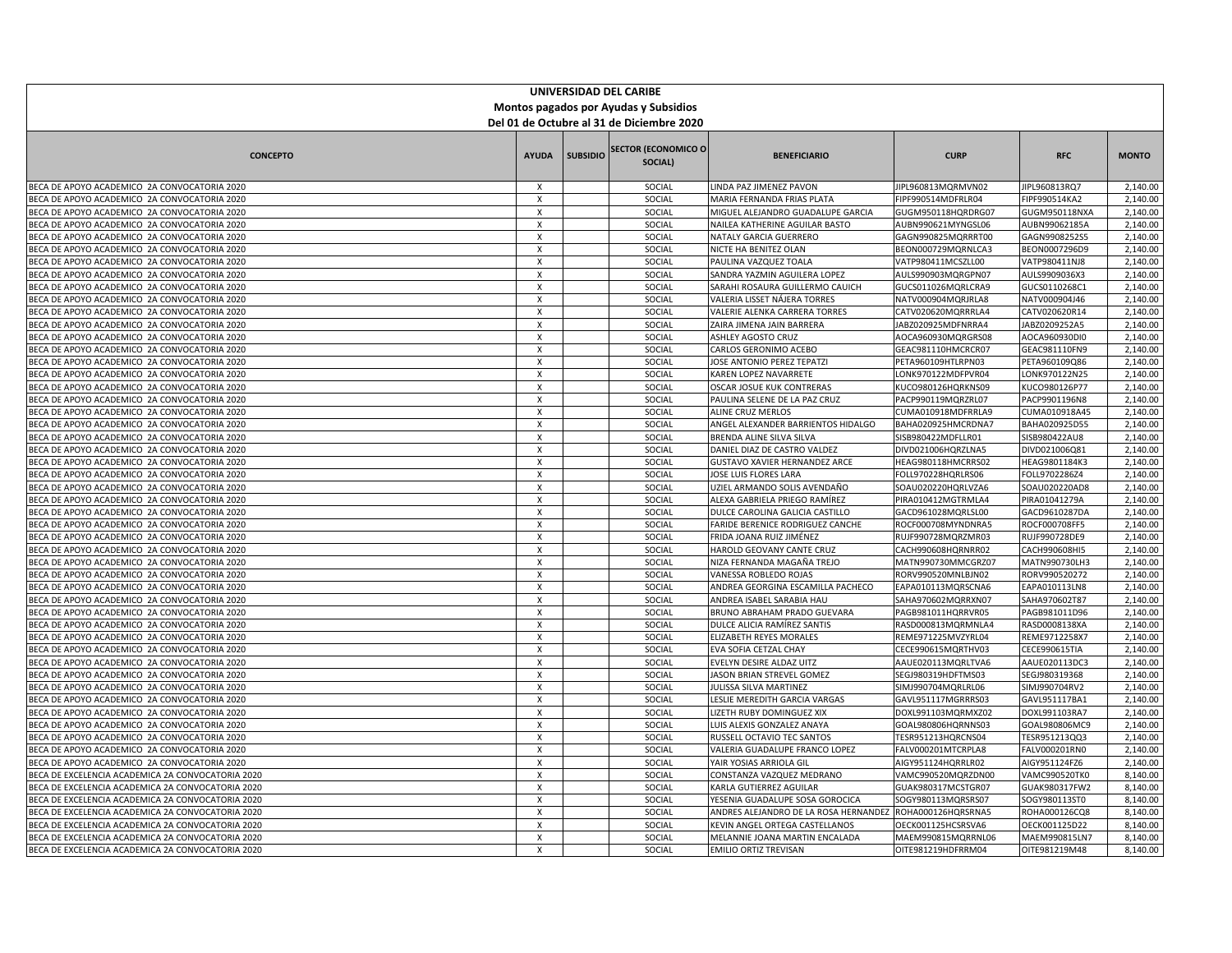| UNIVERSIDAD DEL CARIBE                                                                       |                                           |                 |                                        |                                                                |                                          |                                |                      |  |  |
|----------------------------------------------------------------------------------------------|-------------------------------------------|-----------------|----------------------------------------|----------------------------------------------------------------|------------------------------------------|--------------------------------|----------------------|--|--|
| Montos pagados por Ayudas y Subsidios                                                        |                                           |                 |                                        |                                                                |                                          |                                |                      |  |  |
| Del 01 de Octubre al 31 de Diciembre 2020                                                    |                                           |                 |                                        |                                                                |                                          |                                |                      |  |  |
|                                                                                              |                                           |                 |                                        |                                                                |                                          |                                |                      |  |  |
| <b>CONCEPTO</b>                                                                              | <b>AYUDA</b>                              | <b>SUBSIDIO</b> | <b>SECTOR (ECONOMICO O)</b><br>SOCIAL) | <b>BENEFICIARIO</b>                                            | <b>CURP</b>                              | <b>RFC</b>                     | <b>MONTO</b>         |  |  |
| BECA DE APOYO ACADEMICO 2A CONVOCATORIA 2020                                                 | X                                         |                 | SOCIAL                                 | LINDA PAZ JIMENEZ PAVON                                        | JIPL960813MQRMVN02                       | JIPL960813RQ7                  | 2,140.00             |  |  |
| BECA DE APOYO ACADEMICO 2A CONVOCATORIA 2020                                                 | $\boldsymbol{\mathsf{x}}$                 |                 | SOCIAL                                 | MARIA FERNANDA FRIAS PLATA                                     | FIPF990514MDFRLR04                       | FIPF990514KA2                  | 2,140.00             |  |  |
| BECA DE APOYO ACADEMICO 2A CONVOCATORIA 2020                                                 | $\boldsymbol{\mathsf{x}}$                 |                 | SOCIAL                                 | MIGUEL ALEJANDRO GUADALUPE GARCIA                              | GUGM950118HQRDRG07                       | GUGM950118NXA                  | 2,140.00             |  |  |
| BECA DE APOYO ACADEMICO 2A CONVOCATORIA 2020                                                 | $\mathsf{x}$                              |                 | SOCIAL                                 | NAILEA KATHERINE AGUILAR BASTO                                 | AUBN990621MYNGSL06                       | AUBN99062185A                  | 2,140.00             |  |  |
| BECA DE APOYO ACADEMICO 2A CONVOCATORIA 2020                                                 | $\boldsymbol{\mathsf{x}}$                 |                 | SOCIAL                                 | NATALY GARCIA GUERRERO                                         | GAGN990825MQRRRT00                       | GAGN9908252S5                  | 2,140.00             |  |  |
| BECA DE APOYO ACADEMICO 2A CONVOCATORIA 2020                                                 | $\boldsymbol{\mathsf{x}}$                 |                 | SOCIAL                                 | NICTE HA BENITEZ OLAN                                          | BEON000729MQRNLCA3                       | BEON0007296D9                  | 2,140.00             |  |  |
| BECA DE APOYO ACADEMICO 2A CONVOCATORIA 2020                                                 | $\times$                                  |                 | SOCIAL                                 | PAULINA VAZQUEZ TOALA                                          | VATP980411MCSZLL00                       | VATP980411NJ8                  | 2,140.00             |  |  |
| BECA DE APOYO ACADEMICO 2A CONVOCATORIA 2020                                                 | х                                         |                 | SOCIAL                                 | SANDRA YAZMIN AGUILERA LOPEZ                                   | AULS990903MQRGPN07                       | AULS9909036X3                  | 2,140.00             |  |  |
| BECA DE APOYO ACADEMICO 2A CONVOCATORIA 2020                                                 | $\boldsymbol{\mathsf{x}}$                 |                 | SOCIAL                                 | SARAHI ROSAURA GUILLERMO CAUICH                                | GUCS011026MQRLCRA9                       | GUCS0110268C1                  | 2,140.00             |  |  |
| BECA DE APOYO ACADEMICO 2A CONVOCATORIA 2020                                                 | $\boldsymbol{\mathsf{x}}$                 |                 | SOCIAL                                 | VALERIA LISSET NÁJERA TORRES                                   | NATV000904MQRJRLA8                       | NATV000904J46                  | 2,140.00             |  |  |
| BECA DE APOYO ACADEMICO 2A CONVOCATORIA 2020                                                 | $\boldsymbol{\mathsf{x}}$                 |                 | SOCIAL                                 | VALERIE ALENKA CARRERA TORRES                                  | CATV020620MQRRRLA4                       | CATV020620R14                  | 2,140.00             |  |  |
| BECA DE APOYO ACADEMICO 2A CONVOCATORIA 2020                                                 | X                                         |                 | SOCIAL                                 | ZAIRA JIMENA JAIN BARRERA                                      | JABZ020925MDFNRRA4                       | JABZ0209252A5                  | 2,140.00             |  |  |
| BECA DE APOYO ACADEMICO 2A CONVOCATORIA 2020                                                 | $\boldsymbol{\mathsf{x}}$                 |                 | SOCIAL                                 | ASHLEY AGOSTO CRUZ                                             | AOCA960930MQRGRS08                       | AOCA960930DI0                  | 2,140.00             |  |  |
| BECA DE APOYO ACADEMICO 2A CONVOCATORIA 2020                                                 | $\boldsymbol{\mathsf{x}}$                 |                 | SOCIAL                                 | CARLOS GERONIMO ACEBO                                          | GEAC981110HMCRCR07                       | GEAC981110FN9                  | 2,140.00             |  |  |
| BECA DE APOYO ACADEMICO 2A CONVOCATORIA 2020                                                 | X                                         |                 | SOCIAL                                 | JOSE ANTONIO PEREZ TEPATZI                                     | PETA960109HTLRPN03                       | PETA960109Q86                  | 2,140.00             |  |  |
| BECA DE APOYO ACADEMICO 2A CONVOCATORIA 2020                                                 | $\mathsf{x}$                              |                 | SOCIAL                                 | <b>KAREN LOPEZ NAVARRETE</b>                                   | LONK970122MDFPVR04                       | LONK970122N25                  | 2,140.00             |  |  |
| BECA DE APOYO ACADEMICO 2A CONVOCATORIA 2020                                                 | $\boldsymbol{\mathsf{x}}$                 |                 | SOCIAL                                 | OSCAR JOSUE KUK CONTRERAS                                      | KUCO980126HQRKNS09                       | KUCO980126P77                  | 2,140.00             |  |  |
| BECA DE APOYO ACADEMICO 2A CONVOCATORIA 2020                                                 | $\mathsf{x}$<br>$\boldsymbol{\mathsf{x}}$ |                 | SOCIAL<br>SOCIAL                       | PAULINA SELENE DE LA PAZ CRUZ                                  | PACP990119MQRZRL07                       | PACP9901196N8                  | 2,140.00<br>2,140.00 |  |  |
| BECA DE APOYO ACADEMICO 2A CONVOCATORIA 2020<br>BECA DE APOYO ACADEMICO 2A CONVOCATORIA 2020 | $\boldsymbol{\mathsf{x}}$                 |                 | SOCIAL                                 | <b>ALINE CRUZ MERLOS</b><br>ANGEL ALEXANDER BARRIENTOS HIDALGO | CUMA010918MDFRRLA9<br>BAHA020925HMCRDNA7 | CUMA010918A45<br>BAHA020925D55 | 2,140.00             |  |  |
| BECA DE APOYO ACADEMICO 2A CONVOCATORIA 2020                                                 | $\boldsymbol{\mathsf{x}}$                 |                 | SOCIAL                                 | BRENDA ALINE SILVA SILVA                                       | SISB980422MDFLLR01                       | SISB980422AU8                  | 2,140.00             |  |  |
| BECA DE APOYO ACADEMICO 2A CONVOCATORIA 2020                                                 | $\boldsymbol{\mathsf{x}}$                 |                 | SOCIAL                                 | DANIEL DIAZ DE CASTRO VALDEZ                                   | DIVD021006HQRZLNA5                       | DIVD021006Q81                  | 2,140.00             |  |  |
| BECA DE APOYO ACADEMICO 2A CONVOCATORIA 2020                                                 | $\boldsymbol{\mathsf{x}}$                 |                 | SOCIAL                                 | <b>GUSTAVO XAVIER HERNANDEZ ARCE</b>                           | HEAG980118HMCRRS02                       | HEAG9801184K3                  | 2,140.00             |  |  |
| BECA DE APOYO ACADEMICO 2A CONVOCATORIA 2020                                                 | $\times$                                  |                 | SOCIAL                                 | JOSE LUIS FLORES LARA                                          | FOLL970228HQRLRS06                       | FOLL9702286Z4                  | 2,140.00             |  |  |
| BECA DE APOYO ACADEMICO 2A CONVOCATORIA 2020                                                 | $\boldsymbol{\mathsf{x}}$                 |                 | SOCIAL                                 | UZIEL ARMANDO SOLIS AVENDAÑO                                   | SOAU020220HQRLVZA6                       | SOAU020220AD8                  | 2,140.00             |  |  |
| BECA DE APOYO ACADEMICO 2A CONVOCATORIA 2020                                                 | $\boldsymbol{\mathsf{x}}$                 |                 | SOCIAL                                 | ALEXA GABRIELA PRIEGO RAMÍREZ                                  | PIRA010412MGTRMLA4                       | PIRA01041279A                  | 2,140.00             |  |  |
| BECA DE APOYO ACADEMICO 2A CONVOCATORIA 2020                                                 | $\boldsymbol{\mathsf{x}}$                 |                 | SOCIAL                                 | DULCE CAROLINA GALICIA CASTILLO                                | GACD961028MQRLSL00                       | GACD9610287DA                  | 2,140.00             |  |  |
| BECA DE APOYO ACADEMICO 2A CONVOCATORIA 2020                                                 | $\boldsymbol{\mathsf{x}}$                 |                 | SOCIAL                                 | FARIDE BERENICE RODRIGUEZ CANCHE                               | ROCF000708MYNDNRA5                       | ROCF000708FF5                  | 2,140.00             |  |  |
| BECA DE APOYO ACADEMICO 2A CONVOCATORIA 2020                                                 | $\boldsymbol{\mathsf{x}}$                 |                 | SOCIAL                                 | FRIDA JOANA RUIZ JIMÉNEZ                                       | RUJF990728MQRZMR03                       | RUJF990728DE9                  | 2,140.00             |  |  |
| BECA DE APOYO ACADEMICO 2A CONVOCATORIA 2020                                                 | $\boldsymbol{\mathsf{x}}$                 |                 | SOCIAL                                 | HAROLD GEOVANY CANTE CRUZ                                      | CACH990608HQRNRR02                       | CACH990608HI5                  | 2,140.00             |  |  |
| BECA DE APOYO ACADEMICO 2A CONVOCATORIA 2020                                                 | $\times$                                  |                 | SOCIAL                                 | NIZA FERNANDA MAGAÑA TREJO                                     | MATN990730MMCGRZ07                       | MATN990730LH3                  | 2,140.00             |  |  |
| BECA DE APOYO ACADEMICO 2A CONVOCATORIA 2020                                                 | X                                         |                 | SOCIAL                                 | VANESSA ROBLEDO ROJAS                                          | RORV990520MNLBJN02                       | RORV990520272                  | 2,140.00             |  |  |
| BECA DE APOYO ACADEMICO 2A CONVOCATORIA 2020                                                 | $\boldsymbol{\mathsf{x}}$                 |                 | SOCIAL                                 | ANDREA GEORGINA ESCAMILLA PACHECO                              | EAPA010113MQRSCNA6                       | EAPA010113LN8                  | 2,140.00             |  |  |
| BECA DE APOYO ACADEMICO 2A CONVOCATORIA 2020                                                 | $\mathsf{x}$                              |                 | SOCIAL                                 | ANDREA ISABEL SARABIA HAU                                      | SAHA970602MQRRXN07                       | SAHA970602T87                  | 2,140.00             |  |  |
| BECA DE APOYO ACADEMICO 2A CONVOCATORIA 2020                                                 | $\boldsymbol{\mathsf{x}}$                 |                 | SOCIAL                                 | <b>BRUNO ABRAHAM PRADO GUEVARA</b>                             | PAGB981011HQRRVR05                       | PAGB981011D96                  | 2,140.00             |  |  |
| BECA DE APOYO ACADEMICO 2A CONVOCATORIA 2020                                                 | $\times$                                  |                 | SOCIAL                                 | DULCE ALICIA RAMÍREZ SANTIS                                    | RASD000813MQRMNLA4                       | RASD0008138XA                  | 2,140.00             |  |  |
| BECA DE APOYO ACADEMICO 2A CONVOCATORIA 2020                                                 | $\boldsymbol{\mathsf{x}}$                 |                 | SOCIAL                                 | ELIZABETH REYES MORALES                                        | REME971225MVZYRL04                       | REME9712258X7                  | 2,140.00             |  |  |
| BECA DE APOYO ACADEMICO 2A CONVOCATORIA 2020                                                 | $\boldsymbol{\mathsf{x}}$                 |                 | SOCIAL                                 | EVA SOFIA CETZAL CHAY                                          | CECE990615MQRTHV03                       | CECE990615TIA                  | 2,140.00             |  |  |
| BECA DE APOYO ACADEMICO 2A CONVOCATORIA 2020                                                 | Χ                                         |                 | SOCIAL                                 | EVELYN DESIRE ALDAZ UITZ                                       | AAUE020113MQRLTVA6                       | AAUE020113DC3                  | 2,140.00             |  |  |
| BECA DE APOYO ACADEMICO 2A CONVOCATORIA 2020                                                 | $\boldsymbol{\mathsf{x}}$                 |                 | SOCIAL                                 | JASON BRIAN STREVEL GOMEZ                                      | SEGJ980319HDFTMS03                       | SEGJ980319368                  | 2,140.00             |  |  |
| BECA DE APOYO ACADEMICO 2A CONVOCATORIA 2020                                                 | $\mathsf{x}$                              |                 | SOCIAL                                 | JULISSA SILVA MARTINEZ                                         | SIMJ990704MQRLRL06                       | SIMJ990704RV2                  | 2,140.00             |  |  |
| BECA DE APOYO ACADEMICO 2A CONVOCATORIA 2020                                                 | X                                         |                 | SOCIAL                                 | LESLIE MEREDITH GARCIA VARGAS                                  | GAVL951117MGRRRS03                       | GAVL951117BA1                  | 2,140.00             |  |  |
| BECA DE APOYO ACADEMICO 2A CONVOCATORIA 2020                                                 | $\boldsymbol{\mathsf{x}}$                 |                 | SOCIAL                                 | LIZETH RUBY DOMINGUEZ XIX                                      | DOXL991103MQRMXZ02                       | DOXL991103RA7                  | 2,140.00             |  |  |
| BECA DE APOYO ACADEMICO 2A CONVOCATORIA 2020                                                 | $\boldsymbol{\mathsf{x}}$                 |                 | SOCIAL                                 | LUIS ALEXIS GONZALEZ ANAYA                                     | GOAL980806HQRNNS03                       | GOAL980806MC9                  | 2,140.00             |  |  |
| BECA DE APOYO ACADEMICO 2A CONVOCATORIA 2020                                                 | $\mathsf{x}$                              |                 | SOCIAL                                 | RUSSELL OCTAVIO TEC SANTOS                                     | TESR951213HQRCNS04                       | TESR951213QQ3                  | 2,140.00             |  |  |
| BECA DE APOYO ACADEMICO 2A CONVOCATORIA 2020                                                 | $\boldsymbol{\mathsf{x}}$                 |                 | SOCIAL                                 | VALERIA GUADALUPE FRANCO LOPEZ                                 | FALV000201MTCRPLA8                       | FALV000201RN0                  | 2,140.00             |  |  |
| BECA DE APOYO ACADEMICO 2A CONVOCATORIA 2020                                                 | $\boldsymbol{\mathsf{x}}$                 |                 | SOCIAL                                 | YAIR YOSIAS ARRIOLA GIL                                        | AIGY951124HQRRLR02                       | AIGY951124FZ6                  | 2,140.00             |  |  |
| BECA DE EXCELENCIA ACADEMICA 2A CONVOCATORIA 2020                                            | $\boldsymbol{\mathsf{x}}$                 |                 | SOCIAL                                 | CONSTANZA VAZQUEZ MEDRANO                                      | VAMC990520MQRZDN00                       | VAMC990520TK0                  | 8,140.00             |  |  |
| BECA DE EXCELENCIA ACADEMICA 2A CONVOCATORIA 2020                                            | X                                         |                 | SOCIAL                                 | KARLA GUTIERREZ AGUILAR                                        | GUAK980317MCSTGR07                       | GUAK980317FW2                  | 8,140.00             |  |  |
| BECA DE EXCELENCIA ACADEMICA 2A CONVOCATORIA 2020                                            | $\boldsymbol{\mathsf{x}}$                 |                 | SOCIAL                                 | YESENIA GUADALUPE SOSA GOROCICA                                | SOGY980113MQRSRS07                       | SOGY980113ST0                  | 8,140.00             |  |  |
| BECA DE EXCELENCIA ACADEMICA 2A CONVOCATORIA 2020                                            | X                                         |                 | SOCIAL                                 | ANDRES ALEJANDRO DE LA ROSA HERNANDEZ ROHA000126HQRSRNA5       |                                          | ROHA000126CQ8                  | 8,140.00             |  |  |
| BECA DE EXCELENCIA ACADEMICA 2A CONVOCATORIA 2020                                            | $\boldsymbol{\mathsf{x}}$                 |                 | SOCIAL                                 | KEVIN ANGEL ORTEGA CASTELLANOS                                 | OECK001125HCSRSVA6                       | OECK001125D22                  | 8,140.00             |  |  |
| BECA DE EXCELENCIA ACADEMICA 2A CONVOCATORIA 2020                                            | $\times$                                  |                 | SOCIAL                                 | MELANNIE JOANA MARTIN ENCALADA                                 | MAEM990815MQRRNL06                       | MAEM990815LN7                  | 8,140.00             |  |  |
| BECA DE EXCELENCIA ACADEMICA 2A CONVOCATORIA 2020                                            | х                                         |                 | SOCIAL                                 | EMILIO ORTIZ TREVISAN                                          | OITE981219HDFRRM04                       | OITE981219M48                  | 8,140.00             |  |  |